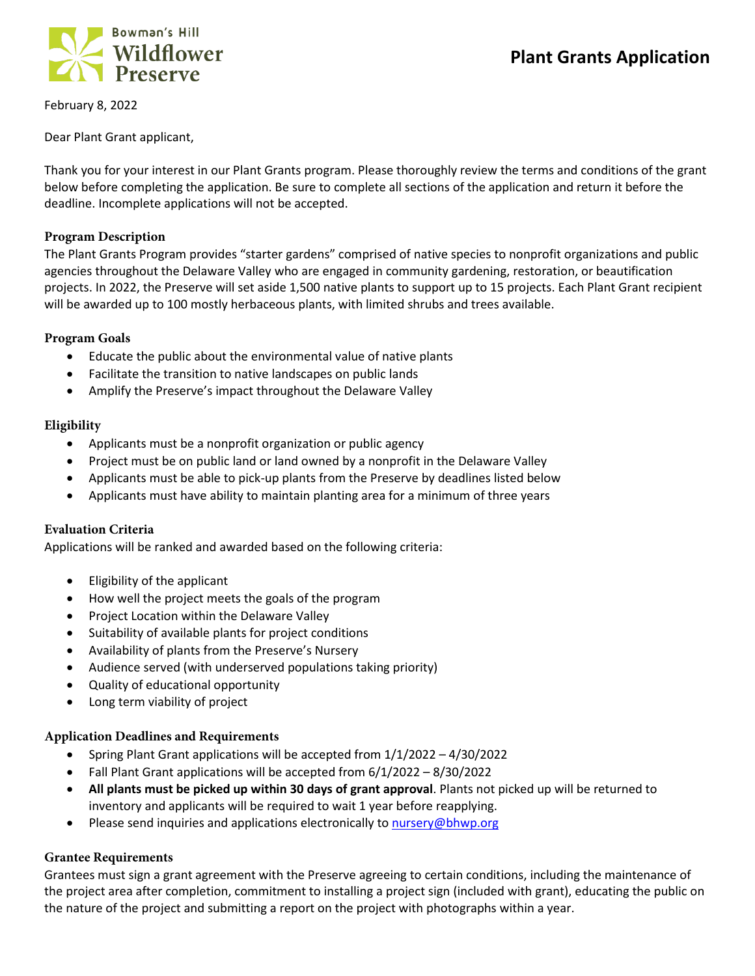

February 8, 2022

Dear Plant Grant applicant,

Thank you for your interest in our Plant Grants program. Please thoroughly review the terms and conditions of the grant below before completing the application. Be sure to complete all sections of the application and return it before the deadline. Incomplete applications will not be accepted.

#### **Program Description**

The Plant Grants Program provides "starter gardens" comprised of native species to nonprofit organizations and public agencies throughout the Delaware Valley who are engaged in community gardening, restoration, or beautification projects. In 2022, the Preserve will set aside 1,500 native plants to support up to 15 projects. Each Plant Grant recipient will be awarded up to 100 mostly herbaceous plants, with limited shrubs and trees available.

#### **Program Goals**

- Educate the public about the environmental value of native plants
- Facilitate the transition to native landscapes on public lands
- Amplify the Preserve's impact throughout the Delaware Valley

#### **Eligibility**

- Applicants must be a nonprofit organization or public agency
- Project must be on public land or land owned by a nonprofit in the Delaware Valley
- Applicants must be able to pick-up plants from the Preserve by deadlines listed below
- Applicants must have ability to maintain planting area for a minimum of three years

## **Evaluation Criteria**

Applications will be ranked and awarded based on the following criteria:

- Eligibility of the applicant
- How well the project meets the goals of the program
- Project Location within the Delaware Valley
- Suitability of available plants for project conditions
- Availability of plants from the Preserve's Nursery
- Audience served (with underserved populations taking priority)
- Quality of educational opportunity
- Long term viability of project

## **Application Deadlines and Requirements**

- Spring Plant Grant applications will be accepted from 1/1/2022 4/30/2022
- Fall Plant Grant applications will be accepted from 6/1/2022 8/30/2022
- **All plants must be picked up within 30 days of grant approval**. Plants not picked up will be returned to inventory and applicants will be required to wait 1 year before reapplying.
- Please send inquiries and applications electronically to [nursery@bhwp.org](mailto:nursery@bhwp.org)

## **Grantee Requirements**

Grantees must sign a grant agreement with the Preserve agreeing to certain conditions, including the maintenance of the project area after completion, commitment to installing a project sign (included with grant), educating the public on the nature of the project and submitting a report on the project with photographs within a year.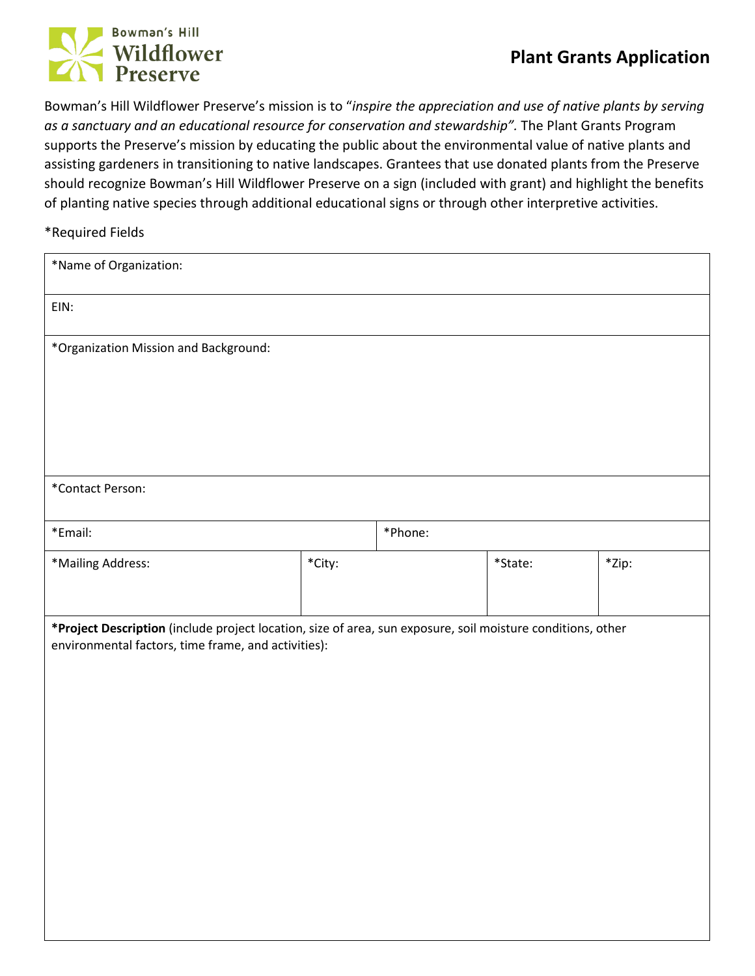# Bowman's Hill Wildflower

Bowman's Hill Wildflower Preserve's mission is to "*inspire the appreciation and use of native plants by serving as a sanctuary and an educational resource for conservation and stewardship".* The Plant Grants Program supports the Preserve's mission by educating the public about the environmental value of native plants and assisting gardeners in transitioning to native landscapes. Grantees that use donated plants from the Preserve should recognize Bowman's Hill Wildflower Preserve on a sign (included with grant) and highlight the benefits of planting native species through additional educational signs or through other interpretive activities.

\*Required Fields

| *Name of Organization:                                                                                                                                             |        |  |         |       |  |
|--------------------------------------------------------------------------------------------------------------------------------------------------------------------|--------|--|---------|-------|--|
| EIN:                                                                                                                                                               |        |  |         |       |  |
| *Organization Mission and Background:                                                                                                                              |        |  |         |       |  |
|                                                                                                                                                                    |        |  |         |       |  |
|                                                                                                                                                                    |        |  |         |       |  |
|                                                                                                                                                                    |        |  |         |       |  |
| *Contact Person:                                                                                                                                                   |        |  |         |       |  |
| *Email:                                                                                                                                                            |        |  | *Phone: |       |  |
| *Mailing Address:                                                                                                                                                  | *City: |  | *State: | *Zip: |  |
|                                                                                                                                                                    |        |  |         |       |  |
| *Project Description (include project location, size of area, sun exposure, soil moisture conditions, other<br>environmental factors, time frame, and activities): |        |  |         |       |  |
|                                                                                                                                                                    |        |  |         |       |  |
|                                                                                                                                                                    |        |  |         |       |  |
|                                                                                                                                                                    |        |  |         |       |  |
|                                                                                                                                                                    |        |  |         |       |  |
|                                                                                                                                                                    |        |  |         |       |  |
|                                                                                                                                                                    |        |  |         |       |  |
|                                                                                                                                                                    |        |  |         |       |  |
|                                                                                                                                                                    |        |  |         |       |  |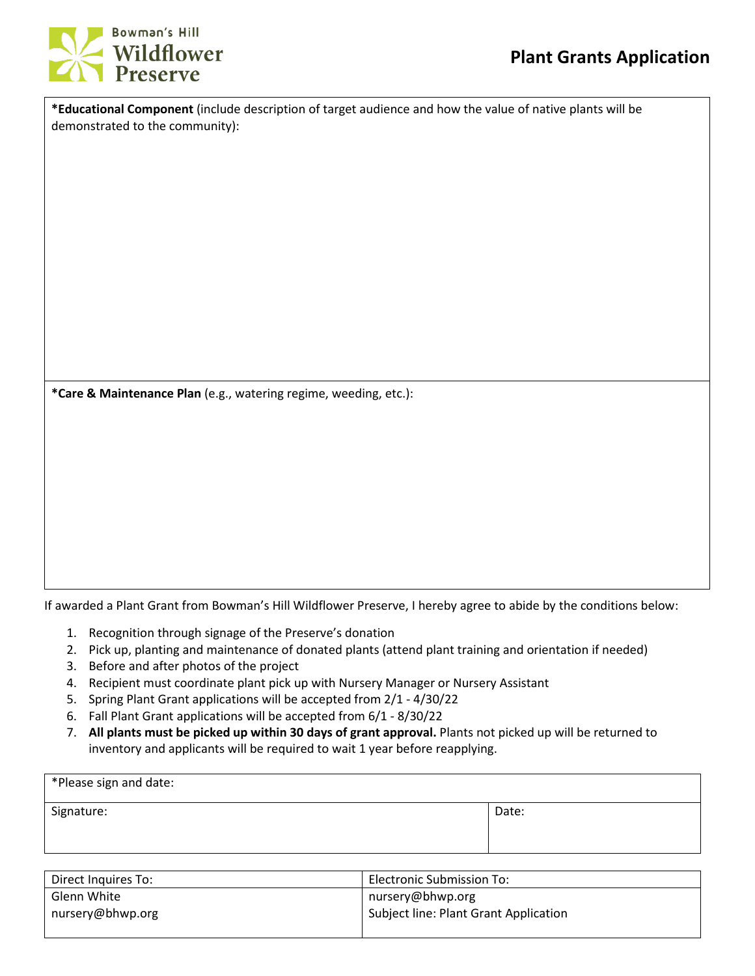

**\*Educational Component** (include description of target audience and how the value of native plants will be demonstrated to the community):

**\*Care & Maintenance Plan** (e.g., watering regime, weeding, etc.):

If awarded a Plant Grant from Bowman's Hill Wildflower Preserve, I hereby agree to abide by the conditions below:

- 1. Recognition through signage of the Preserve's donation
- 2. Pick up, planting and maintenance of donated plants (attend plant training and orientation if needed)
- 3. Before and after photos of the project
- 4. Recipient must coordinate plant pick up with Nursery Manager or Nursery Assistant
- 5. Spring Plant Grant applications will be accepted from 2/1 4/30/22
- 6. Fall Plant Grant applications will be accepted from 6/1 8/30/22
- 7. **All plants must be picked up within 30 days of grant approval.** Plants not picked up will be returned to inventory and applicants will be required to wait 1 year before reapplying.

| *Please sign and date: |       |
|------------------------|-------|
| Signature:             | Date: |

| Direct Inquires To: | <b>Electronic Submission To:</b>      |
|---------------------|---------------------------------------|
| Glenn White         | nursery@bhwp.org                      |
| nursery@bhwp.org    | Subject line: Plant Grant Application |
|                     |                                       |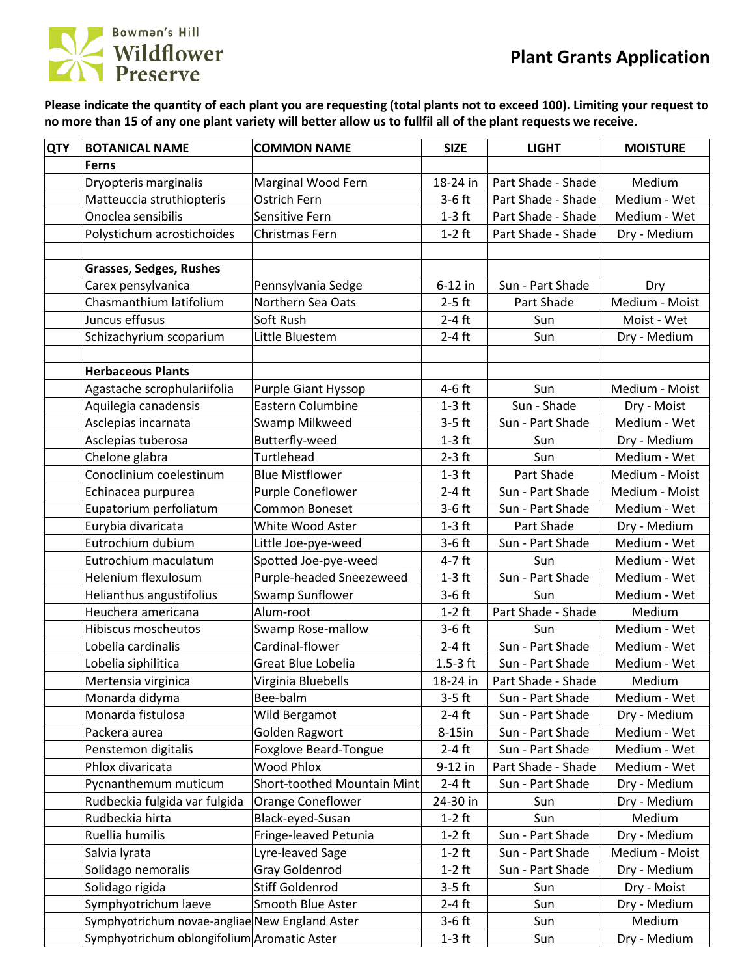

**Please indicate the quantity of each plant you are requesting (total plants not to exceed 100). Limiting your request to no more than 15 of any one plant variety will better allow us to fullfil all of the plant requests we receive.**

| <b>QTY</b> | <b>BOTANICAL NAME</b>                          | <b>COMMON NAME</b>          | <b>SIZE</b> | <b>LIGHT</b>       | <b>MOISTURE</b> |
|------------|------------------------------------------------|-----------------------------|-------------|--------------------|-----------------|
|            | <b>Ferns</b>                                   |                             |             |                    |                 |
|            | Dryopteris marginalis                          | Marginal Wood Fern          | 18-24 in    | Part Shade - Shade | Medium          |
|            | Matteuccia struthiopteris                      | Ostrich Fern                | $3-6$ ft    | Part Shade - Shade | Medium - Wet    |
|            | Onoclea sensibilis                             | Sensitive Fern              | $1-3$ ft    | Part Shade - Shade | Medium - Wet    |
|            | Polystichum acrostichoides                     | Christmas Fern              | $1-2$ ft    | Part Shade - Shade | Dry - Medium    |
|            |                                                |                             |             |                    |                 |
|            | <b>Grasses, Sedges, Rushes</b>                 |                             |             |                    |                 |
|            | Carex pensylvanica                             | Pennsylvania Sedge          | $6-12$ in   | Sun - Part Shade   | Dry             |
|            | Chasmanthium latifolium                        | Northern Sea Oats           | $2-5$ ft    | Part Shade         | Medium - Moist  |
|            | Juncus effusus                                 | Soft Rush                   | $2-4$ ft    | Sun                | Moist - Wet     |
|            | Schizachyrium scoparium                        | Little Bluestem             | $2-4$ ft    | Sun                | Dry - Medium    |
|            |                                                |                             |             |                    |                 |
|            | <b>Herbaceous Plants</b>                       |                             |             |                    |                 |
|            | Agastache scrophulariifolia                    | <b>Purple Giant Hyssop</b>  | $4-6$ ft    | Sun                | Medium - Moist  |
|            | Aquilegia canadensis                           | <b>Eastern Columbine</b>    | $1-3$ ft    | Sun - Shade        | Dry - Moist     |
|            | Asclepias incarnata                            | Swamp Milkweed              | $3-5$ ft    | Sun - Part Shade   | Medium - Wet    |
|            | Asclepias tuberosa                             | Butterfly-weed              | $1-3$ ft    | Sun                | Dry - Medium    |
|            | Chelone glabra                                 | Turtlehead                  | $2-3$ ft    | Sun                | Medium - Wet    |
|            | Conoclinium coelestinum                        | <b>Blue Mistflower</b>      | $1-3$ ft    | Part Shade         | Medium - Moist  |
|            | Echinacea purpurea                             | Purple Coneflower           | $2-4$ ft    | Sun - Part Shade   | Medium - Moist  |
|            | Eupatorium perfoliatum                         | Common Boneset              | $3-6$ ft    | Sun - Part Shade   | Medium - Wet    |
|            | Eurybia divaricata                             | White Wood Aster            | $1-3$ ft    | Part Shade         | Dry - Medium    |
|            | Eutrochium dubium                              | Little Joe-pye-weed         | $3-6$ ft    | Sun - Part Shade   | Medium - Wet    |
|            | Eutrochium maculatum                           | Spotted Joe-pye-weed        | $4-7$ ft    | Sun                | Medium - Wet    |
|            | Helenium flexulosum                            | Purple-headed Sneezeweed    | $1-3$ ft    | Sun - Part Shade   | Medium - Wet    |
|            | Helianthus angustifolius                       | Swamp Sunflower             | $3-6$ ft    | Sun                | Medium - Wet    |
|            | Heuchera americana                             | Alum-root                   | $1-2$ ft    | Part Shade - Shade | Medium          |
|            | Hibiscus moscheutos                            | Swamp Rose-mallow           | $3-6$ ft    | Sun                | Medium - Wet    |
|            | Lobelia cardinalis                             | Cardinal-flower             | $2-4$ ft    | Sun - Part Shade   | Medium - Wet    |
|            | Lobelia siphilitica                            | Great Blue Lobelia          | $1.5-3$ ft  | Sun - Part Shade   | Medium - Wet    |
|            | Mertensia virginica                            | Virginia Bluebells          | 18-24 in    | Part Shade - Shade | Medium          |
|            | Monarda didyma                                 | Bee-balm                    | $3-5$ ft    | Sun - Part Shade   | Medium - Wet    |
|            | Monarda fistulosa                              | Wild Bergamot               | $2-4$ ft    | Sun - Part Shade   | Dry - Medium    |
|            | Packera aurea                                  | Golden Ragwort              | 8-15in      | Sun - Part Shade   | Medium - Wet    |
|            | Penstemon digitalis                            | Foxglove Beard-Tongue       | $2-4$ ft    | Sun - Part Shade   | Medium - Wet    |
|            | Phlox divaricata                               | <b>Wood Phlox</b>           | 9-12 in     | Part Shade - Shade | Medium - Wet    |
|            | Pycnanthemum muticum                           | Short-toothed Mountain Mint | $2-4$ ft    | Sun - Part Shade   | Dry - Medium    |
|            | Rudbeckia fulgida var fulgida                  | Orange Coneflower           | 24-30 in    | Sun                | Dry - Medium    |
|            | Rudbeckia hirta                                | Black-eyed-Susan            | $1-2$ ft    | Sun                | Medium          |
|            | Ruellia humilis                                | Fringe-leaved Petunia       | $1-2$ ft    | Sun - Part Shade   | Dry - Medium    |
|            | Salvia lyrata                                  | Lyre-leaved Sage            | $1-2$ ft    | Sun - Part Shade   | Medium - Moist  |
|            | Solidago nemoralis                             | Gray Goldenrod              | $1-2$ ft    | Sun - Part Shade   | Dry - Medium    |
|            | Solidago rigida                                | Stiff Goldenrod             | $3-5$ ft    | Sun                | Dry - Moist     |
|            | Symphyotrichum laeve                           | Smooth Blue Aster           | $2-4$ ft    | Sun                | Dry - Medium    |
|            | Symphyotrichum novae-angliae New England Aster |                             | $3-6$ ft    | Sun                | Medium          |
|            | Symphyotrichum oblongifolium Aromatic Aster    |                             | $1-3$ ft    | Sun                | Dry - Medium    |